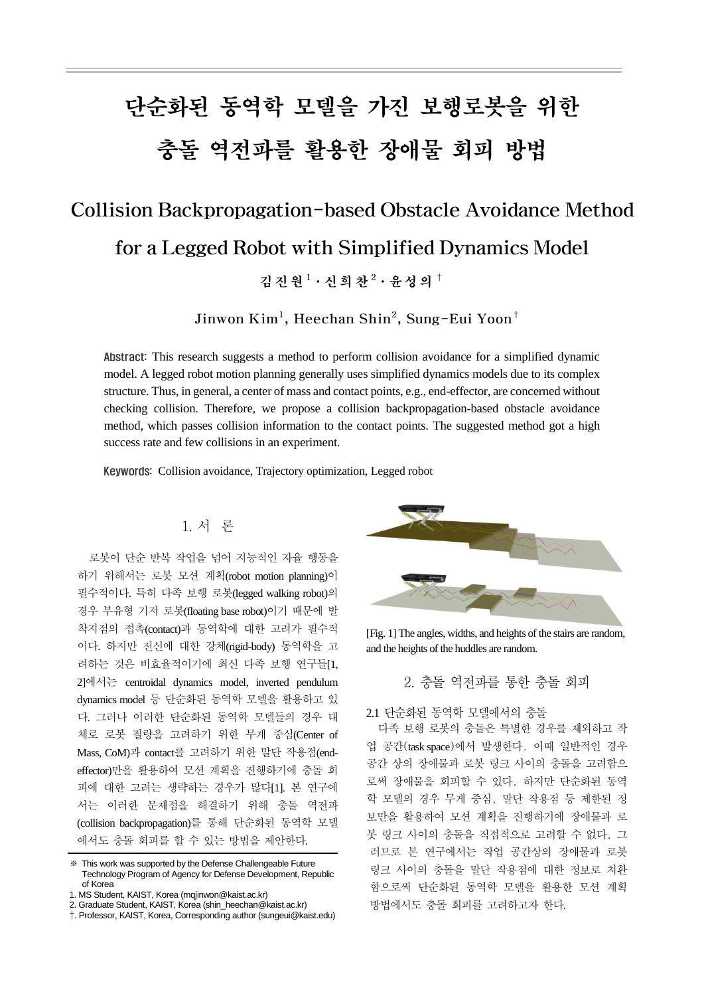# 단순화된 동역학 모델을 가진 보행로봇을 위한 충돌 역전파를 활용한 장애물 회피 방법

## Collision Backpropagation-based Obstacle Avoidance Method for a Legged Robot with Simplified Dynamics Model 김진원 <sup>1</sup>·신 희 찬 <sup>2</sup>·윤성의 †

Jinwon Kim $^1$ , Heechan Shin $^2$ , Sung-Eui Yoon $^\dagger$ 

Abstract: This research suggests a method to perform collision avoidance for a simplified dynamic model. A legged robot motion planning generally uses simplified dynamics models due to its complex structure. Thus, in general, a center of mass and contact points, e.g., end-effector, are concerned without checking collision. Therefore, we propose a collision backpropagation-based obstacle avoidance method, which passes collision information to the contact points. The suggested method got a high success rate and few collisions in an experiment.

Keywords: Collision avoidance, Trajectory optimization, Legged robot

### 1. 서 론

로봇이 단순 반복 작업을 넘어 지능적인 자율 행동을 하기 위해서는 로봇 모션 계획(robot motion planning)이 필수적이다. 특히 다족 보행 로봇(legged walking robot)의 경우 부유형 기저 로봇(floating base robot)이기 때문에 발 착지점의 접촉(contact)과 동역학에 대한 고려가 필수적 이다. 하지만 전신에 대한 강체(rigid-body) 동역학을 고 려하는 것은 비효율적이기에 최신 다족 보행 연구들[1, 2]에서는 centroidal dynamics model, inverted pendulum dynamics model 등 단순화된 동역학 모델을 활용하고 있 다. 그러나 이러한 단순화된 동역학 모델들의 경우 대 체로 로봇 질량을 고려하기 위한 무게 중심(Center of Mass, CoM)과 contact를 고려하기 위한 말단 작용점(endeffector)만을 활용하여 모션 계획을 진행하기에 충돌 회 피에 대한 고려는 생략하는 경우가 많다[1]. 본 연구에 서는 이러한 문제점을 해결하기 위해 충돌 역전파 (collision backpropagation)를 통해 단순화된 동역학 모델 에서도 충돌 회피를 할 수 있는 방법을 제안한다.



[Fig. 1] The angles, widths, and heights of the stairs are random, and the heights of the huddles are random.

2. 충돌 역전파를 통한 충돌 회피

2.1 단순화된 동역학 모델에서의 충돌

다족 보행 로봇의 충돌은 특별한 경우를 제외하고 작 업 공간(task space)에서 발생한다. 이때 일반적인 경우 공간 상의 장애물과 로봇 링크 사이의 충돌을 고려함으 로써 장애물을 회피할 수 있다. 하지만 단순화된 동역 학 모델의 경우 무게 중심, 말단 작용점 등 제한된 정 보만을 활용하여 모션 계획을 진행하기에 장애물과 로 봇 링크 사이의 충돌을 직접적으로 고려할 수 없다. 그 러므로 본 연구에서는 작업 공간상의 장애물과 로봇 링크 사이의 충돌을 말단 작용점에 대한 정보로 치환 함으로써 단순화된 동역학 모델을 활용한 모션 계획 방법에서도 충돌 회피를 고려하고자 한다.

<sup>※</sup> This work was supported by the Defense Challengeable Future Technology Program of Agency for Defense Development, Republic of Korea

<sup>1.</sup> MS Student, KAIST, Korea (mqjinwon@kaist.ac.kr)

<sup>2.</sup> Graduate Student, KAIST, Korea (shin\_heechan@kaist.ac.kr)

<sup>†</sup>. Professor, KAIST, Korea, Corresponding author (sungeui@kaist.edu)